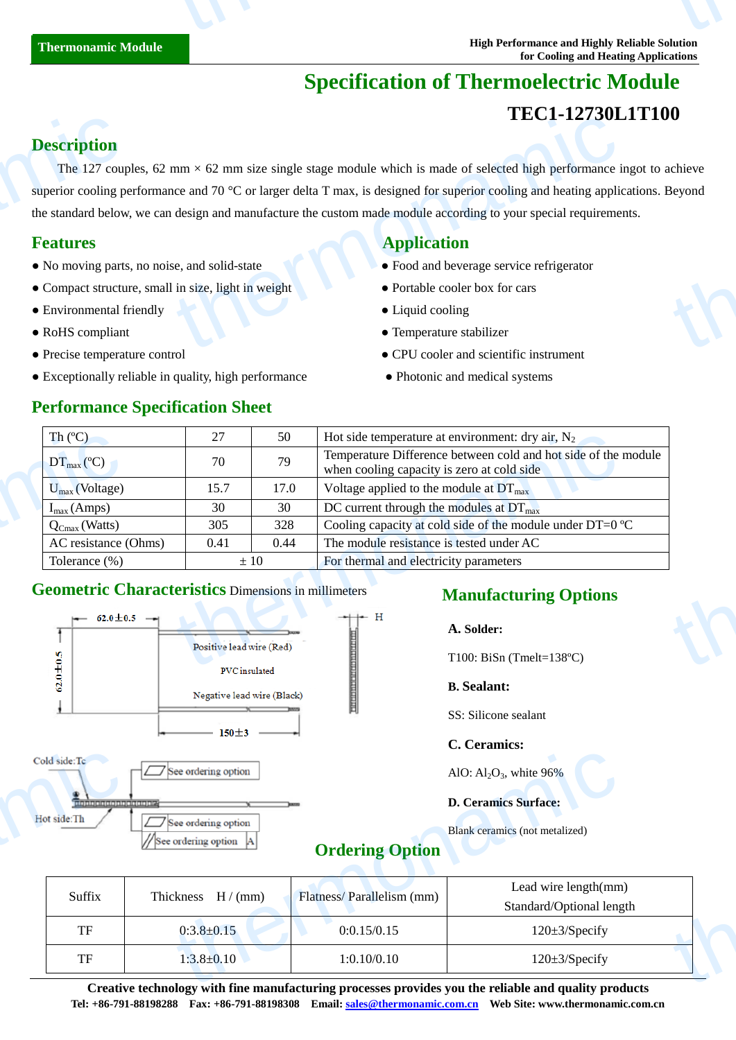## **Specification of Thermoelectric Module TEC1-12730L1T100**

### **Description**

The 127 couples, 62 mm  $\times$  62 mm size single stage module which is made of selected high performance ingot to achieve superior cooling performance and 70 °C or larger delta T max, is designed for superior cooling and heating applications. Beyond the standard below, we can design and manufacture the custom made module according to your special requirements. **Description**<br>The 127 coup<br>superior cooling po<br>the standard below<br>**Features**<br>• No moving parts<br>• Compact structu<br>• Environmental f  $\text{LCL-1275UL}$ <br>
mm × 62 mm size single stage module which is made of selected high performance is<br>
ice and 70 °C or larger delta T max, is designed for superior cooling and heating applic<br>
design and manufacture the custo thermonamic

- No moving parts, no noise, and solid-state  **Food and beverage service refrigerator**
- Compact structure, small in size, light in weight Portable cooler box for cars
- Environmental friendly **COO** Liquid cooling
- 
- 
- Exceptionally reliable in quality, high performance Photonic and medical systems

#### **Performance Specification Sheet**

#### **Features Application Application**

- 
- 
- 
- RoHS compliant Temperature stabilizer
- Precise temperature control CPU cooler and scientific instrument
	-

| Th $(C)$                                                   | 27                                                       | 50   | Hot side temperature at environment: dry air, $N_2$                                                          |  |
|------------------------------------------------------------|----------------------------------------------------------|------|--------------------------------------------------------------------------------------------------------------|--|
| $DT_{\text{max}}(\mathbb{C})$                              | 70                                                       | 79   | Temperature Difference between cold and hot side of the module<br>when cooling capacity is zero at cold side |  |
| $U_{\text{max}}$ (Voltage)                                 | 15.7                                                     | 17.0 | Voltage applied to the module at $DT_{\text{max}}$                                                           |  |
| $I_{max}(Amps)$                                            | 30                                                       | 30   | DC current through the modules at $DT_{\text{max}}$                                                          |  |
| $Q_{Cmax}$ (Watts)                                         | 305                                                      | 328  | Cooling capacity at cold side of the module under DT=0 $\mathbb{C}$                                          |  |
| AC resistance (Ohms)                                       | 0.41                                                     | 0.44 | The module resistance is tested under AC                                                                     |  |
| Tolerance $(\%)$                                           | $\pm 10$                                                 |      | For thermal and electricity parameters                                                                       |  |
| <b>Geometric Characteristics Dimensions in millimeters</b> |                                                          |      | <b>Manufacturing Options</b>                                                                                 |  |
| $\leftarrow 62.0 \pm 0.5$ -                                |                                                          |      | $+ +$ H<br>A. Solder:                                                                                        |  |
|                                                            | Positive lead wire (Red)<br>means the state of the state |      | T100: BiSn (Tmelt=138 $\mathbb{C}$ )                                                                         |  |

#### **Geometric Characteristics** Dimensions in millimeters



#### **Manufacturing Options**

#### **B. Sealant:**

SS: Silicone sealant

#### **C. Ceramics:**

### **Ordering Option**

| ld side:Tc<br>See ordering option              |                                                 |                           | AlO: $Al_2O_3$ , white 96%                                                                                                                        |  |  |
|------------------------------------------------|-------------------------------------------------|---------------------------|---------------------------------------------------------------------------------------------------------------------------------------------------|--|--|
| afojalajala(afojalajala(atojala)<br>ot side:Th | See ordering option<br>//See ordering option  A | <b>Ordering Option</b>    | <b>D. Ceramics Surface:</b><br>Blank ceramics (not metalized)                                                                                     |  |  |
| Suffix                                         | Thickness $H/(mm)$                              | Flatness/Parallelism (mm) | Lead wire length(mm)<br>Standard/Optional length                                                                                                  |  |  |
| <b>TF</b>                                      | $0:3.8 \pm 0.15$                                | 0:0.15/0.15               | $120 \pm 3$ /Specify                                                                                                                              |  |  |
| TF                                             | $1:3.8 \pm 0.10$                                | 1:0.10/0.10               | $120 \pm 3$ /Specify                                                                                                                              |  |  |
|                                                |                                                 |                           | $\alpha$ and the state of the $\alpha$ -state $\alpha$ -state of the second contribution of the state of $\alpha$ -state $\alpha$ -state $\alpha$ |  |  |

**Creative technology with fine manufacturing processes provides you the reliable and quality products Tel: +86-791-88198288 Fax: +86-791-88198308 Email: sales@thermonamic.com.cn Web Site: www.thermonamic.com.cn**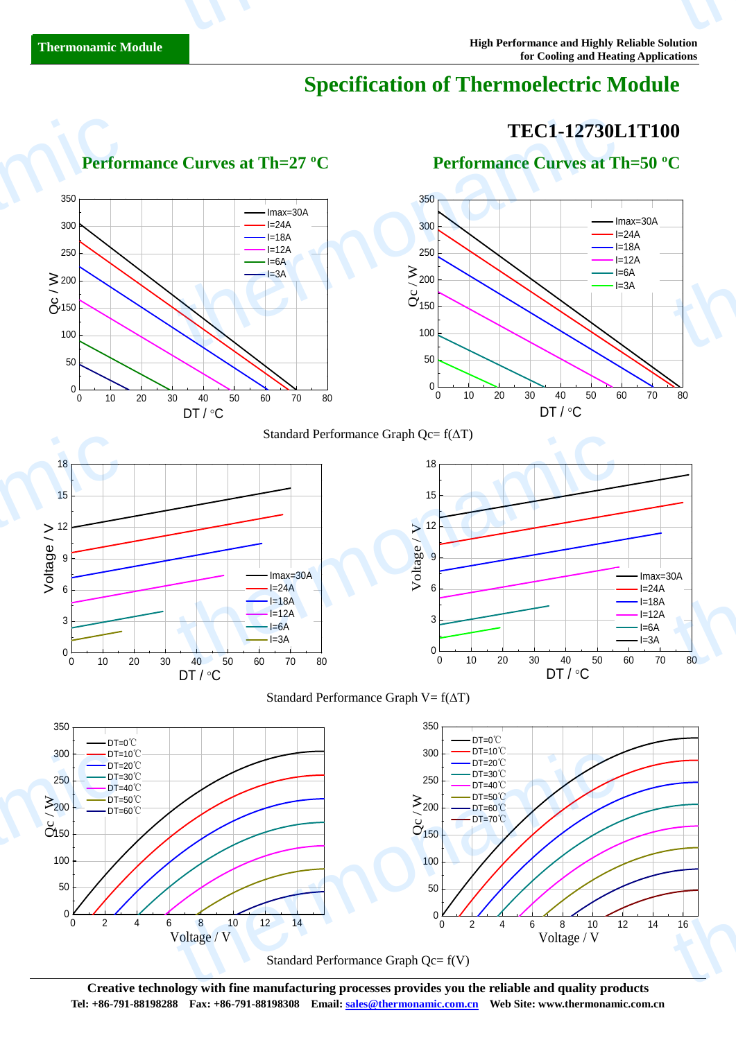## **Specification of Thermoelectric Module**

# **TEC1-12730L1T100**  $\begin{bmatrix} 1 \\ -1 \end{bmatrix}$

Imax=30A  $I=24A$  $l=18A$  $I=12A$  $I=6A$  $I=3A$ 

1

#### Standard Performance Graph Qc= f(ΔT) Standard Performance Graph V=  $f(\Delta T)$ 0 10 20 30 40 50 60 70 80 0  $50 \sim$   $\sim$   $\sim$   $\sim$  $\sim$  100  $\sim$   $\sim$   $\sim$   $\sim$  $\alpha$ <sup>150</sup>  $\geq 200$ 250 300 350  $\frac{5200}{9^{150}}$ DT / °C Imax=30A  $I=24A$  $I=18A$  $I=12A$  $1=6A$  $I=3A$ 0 10 20 30 40 50 60 70 80 0  $50 \sim$   $\sim$   $\sim$ 100  $\overset{\circ}{\mathcal{O}}_{150}$ 200 250 300 350 Imax=30A  $I=24A$  $l=18A$  $l=12A$ I=6A  $\geq 200$   $\frac{1}{64}$   $\frac{1}{64}$   $\frac{1}{34}$   $\frac{1}{34}$ DT / °C 0 10 20 30 40 50 60 70 80 0  $3 \rightarrow$  $6 \rightarrow$ 9 <del>|</del> 12  $15 -$ 18  $\begin{array}{ccc}\n\text{Imax=30A} \\
\text{I=24A} & & \rightarrow & 6\n\end{array}$  $I=24A$  $I=18A$  $I=12A$  $I=6A$  $I=3A$  $\sum_{n=1}^{\infty}$ <br>  $\sum_{n=1}^{\infty}$ <br>  $\sum_{n=1}^{\infty}$ <br>  $\sum_{n=1}^{\infty}$ <br>  $\sum_{n=1}^{\infty}$ <br>  $\sum_{n=1}^{\infty}$ <br>  $\sum_{n=1}^{\infty}$ <br>  $\sum_{n=1}^{\infty}$ <br>  $\sum_{n=1}^{\infty}$ <br>  $\sum_{n=1}^{\infty}$ <br>  $\sum_{n=1}^{\infty}$ <br>  $\sum_{n=1}^{\infty}$ <br>  $\sum_{n=1}^{\infty}$ <br>  $\sum_{n=1}^{\infty}$ 0 10 20 30 40 50 60 70 80 0  $3 \sim$  $6 \rightarrow$  $9 \leftarrow$ Voltage / V<br>
o<br>
e<br>
o<br>
o<br>
c<br>
o<br>  $\frac{12}{12}$  $15$  $18 \rightarrow 18$  $\sum_{\substack{0 \text{odd } 0}}^{12}$ <br>  $\sum_{\substack{1 \text{odd } 0}}^{12}$ <br>  $\sum_{\substack{1 \text{odd } 0}}^{12}$ <br>  $\sum_{\substack{1 \text{odd } 0}}^{12}$ <br>  $\sum_{\substack{1 \text{odd } 0}}^{12}$ <br>  $\sum_{\substack{1 \text{odd } 0}}^{12}$ <br>  $\sum_{\substack{1 \text{odd } 0}}^{12}$ <br>  $\sum_{\substack{1 \text{odd } 0}}^{12}$ <br>  $\sum_{\substack{1 \text{odd } 0}}^{12}$ <br>  $\sum_{\$ 350 DT=0℃ 350 DT=0℃ Perfor<br>  $350$ <br>  $300$ <br>  $250$ <br>  $\geq 200$ <br>  $\geq 6$ <br>  $\geq 150$ <br>  $\geq 100$ thermonamic  $\begin{array}{r} \n 18 \\
 \times 12 \\
 \hline\n 6\n \end{array}$ thermonamic

 **Performance Curves at Th=27 <sup>°</sup>C Performance Curves at Th=50 <sup>°</sup>C** 



**Creative technology with fine manufacturing processes provides you the reliable and quality products Tel: +86-791-88198288 Fax: +86-791-88198308 Email: sales@thermonamic.com.cn Web Site: www.thermonamic.com.cn**